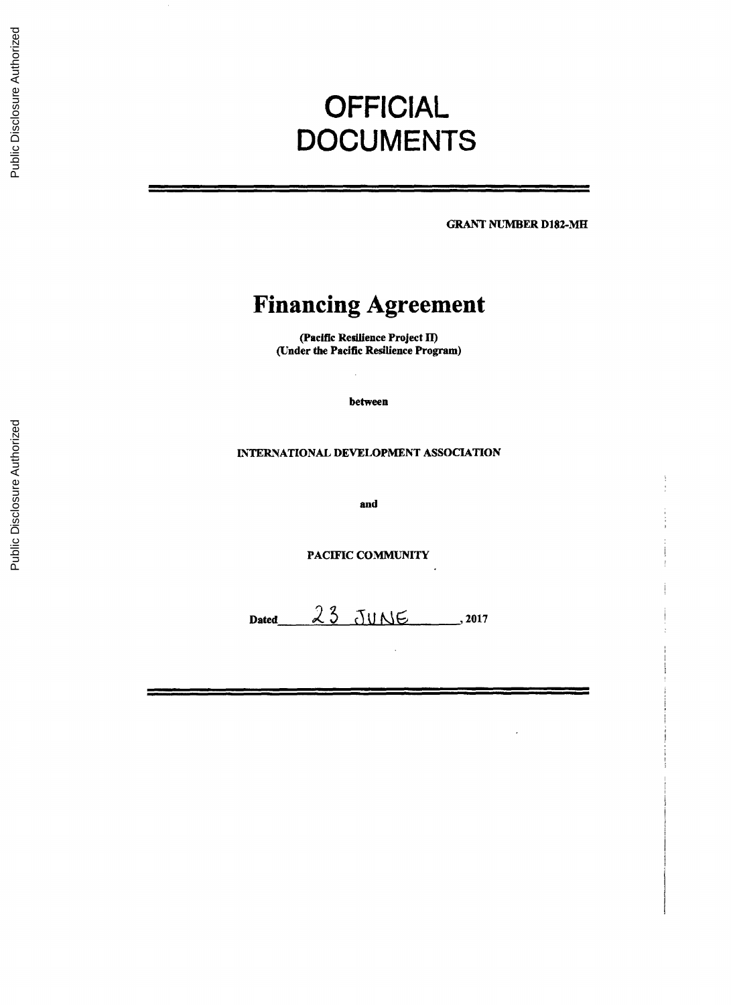# **OFFICIAL DOCUMENTS**

**GRANT NUMBER D182-MH**

# **Financing Agreement**

(Pacific Resilience Project II) (Under the Pacific Resilience Program)

between

# **INTERNATIONAL DEVELOPMENT ASSOCIATION**

and

**PACIFIC COMMUNITY**

 $Dated$   $23$  JUNE  $.2017$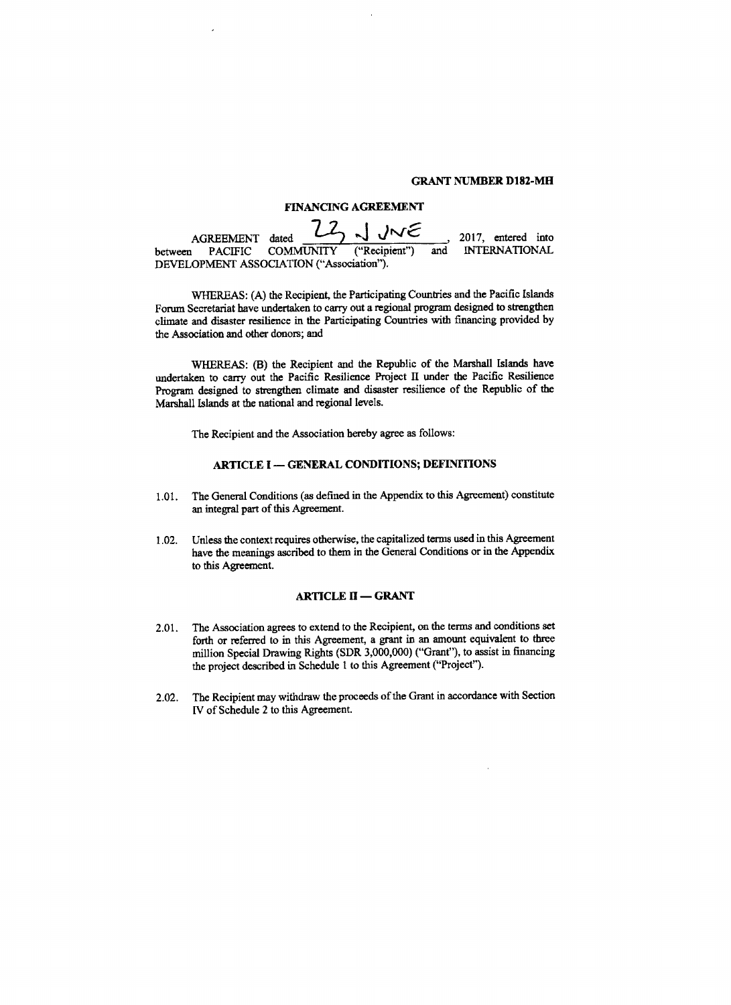#### **GRANT NUMBER D182-MH**

# **FINANCING AGREEMENT**

AGREEMENT dated 72 JUNE 2017, entered into<br>between PACIFIC COMMUNITY ("Recipient") and INTERNATIONAL  $INTERNATIONAL$ **DEVELOPMENT ASSOCIATION** ("Association").

WHEREAS: **(A)** the Recipient, the Participating Countries and the Pacific Islands Forum Secretariat have undertaken to carry out a regional program designed to strengthen climate and disaster resilience in the Participating Countries with financing provided **by** the Association and other donors; and

WHEREAS: (B) the Recipient and the Republic of the Marshall Islands have undertaken to carry out the Pacific Resilience Project II under the Pacific Resilience Program designed to strengthen climate and disaster resilience of the Republic of the Marshall Islands at the national and regional levels.

The Recipient and the Association hereby agree as follows:

# ARTICLE **I - GENERAL** CONDITIONS; **DEFINITIONS**

- **1.01.** The General Conditions (as defined in the Appendix to this Agreement) constitute an integral part of this Agreement.
- 1.02. Unless the context requires otherwise, the capitalized terms used in this Agreement have the meanings ascribed to them in the General Conditions or in the Appendix to this Agreement.

#### **ARTICLE II - GRANT**

- 2.01. The Association agrees to extend to the Recipient, on the terms and conditions set forth or referred to in this Agreement, a grant in an amount equivalent to **three** million Special Drawing Rights (SDR **3,000,000)** ("Grant"), to assist in financing the project described in Schedule **I** to this Agreement ("Project").
- 2.02. The Recipient may withdraw the proceeds of the Grant in accordance with Section IV of Schedule 2 to this Agreement.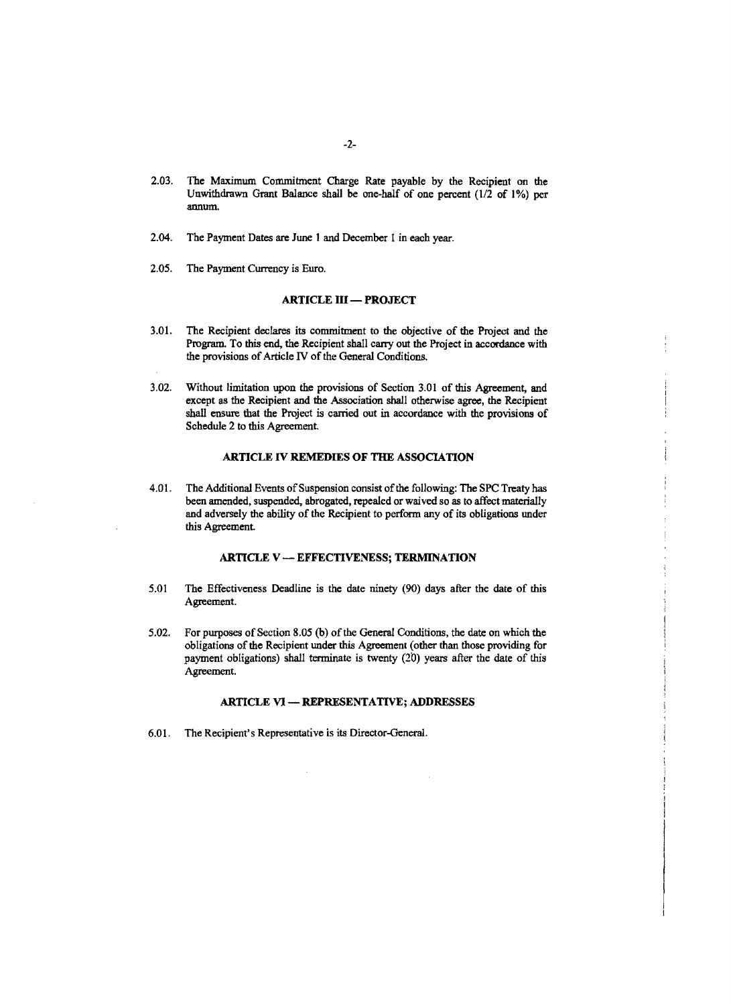- **2.03.** The Maximum Commitment Charge Rate payable **by** the Recipient on the Unwithdrawn Grant Balance shall be one-half of one percent (1/2 of **1%)** per annum.
- 2.04. The Payment Dates are June 1 and December 1 in each year.
- **2.05.** The Payment Currency is Euro.

# **ARTICLE III - PROJECT**

- **3.01.** The Recipient declares its commitment to the objective of the Project and the Program. To this end, the Recipient shall carry out the Project in accordance with the provisions of Article IV of the General Conditions.
- **3.02.** Without limitation upon the provisions of Section **3.01** of this Agreement, and shall ensure that the Project is carried out in accordance with the provisions of Schedule 2 to this Agreement.

# **ARTICLE IV** REMEDIES OF **THE ASSOCIATION**

4.01. The Additional Events of Suspension consist of the following: The **SPC** Treaty has been amended, suspended, abrogated, repealed or waived so as to affect materially and adversely the ability of the Recipient to perform any of its obligations under this Agreement.

# ARTICLE V **- EFFECTIVENESS; TERMINATION**

- *5.01* The Effectiveness Deadline is the date ninety **(90)** days after the date of this Agreement.
- *5.02.* For purposes of Section *8.05* **(b)** of the General Conditions, the date on which the obligations of the Recipient under **this** Agreement (other than those providing for payment obligations) shall terminate is twenty (20) years after the date of this Agreement.

# ARTICLE VI **-** REPRESENTATIVE; **ADDRESSES**

**6.01.** The Recipient's Representative is its Director-General.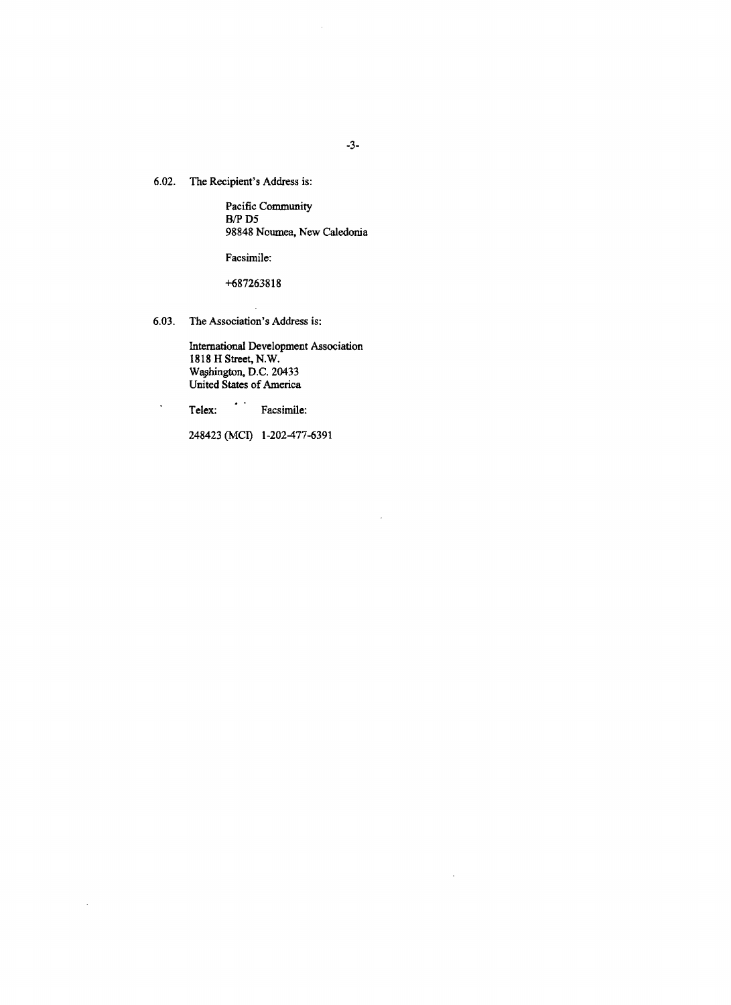**6.02.** The Recipient's Address is:

Pacific Community B/P **D5 98848** Noumea, New Caledonia

Facsimile:

**+687263818**

**6.03.** The Association's Address is:

International Development Association **1818** H Street, N.W. Waphington, **D.C.** 20433 United States of America

Telex: Facsimile:  $\ddot{\phantom{0}}$ 

 $\bar{z}$ 

248423 **(MCI) 1-202-477-6391**

J,

 $\ddot{\phantom{a}}$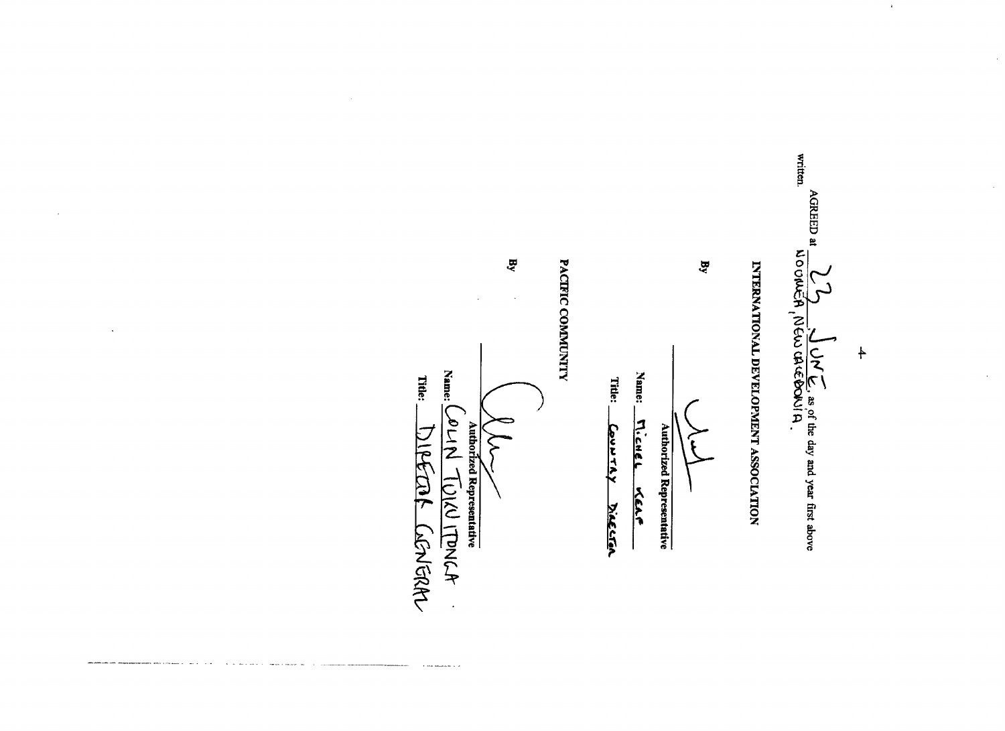e **INE SISTE** 

 $\ddagger$ 

 $\mathbf{a}$ 

# INTERNATIONAL DEVELOPMENT ASSOCIATION



Name:

Title:

COUVTAY DIECER

 $\mathbf{g}$ 

Name: L

AJNOT VILLENCA

 $\ddot{\phantom{a}}$ 

Authorized Representative

⊱

Title:

DIPECAL CONGRAN

PACIFIC COMMUNITY

**Authorized Representative** 

MicHEL KEAF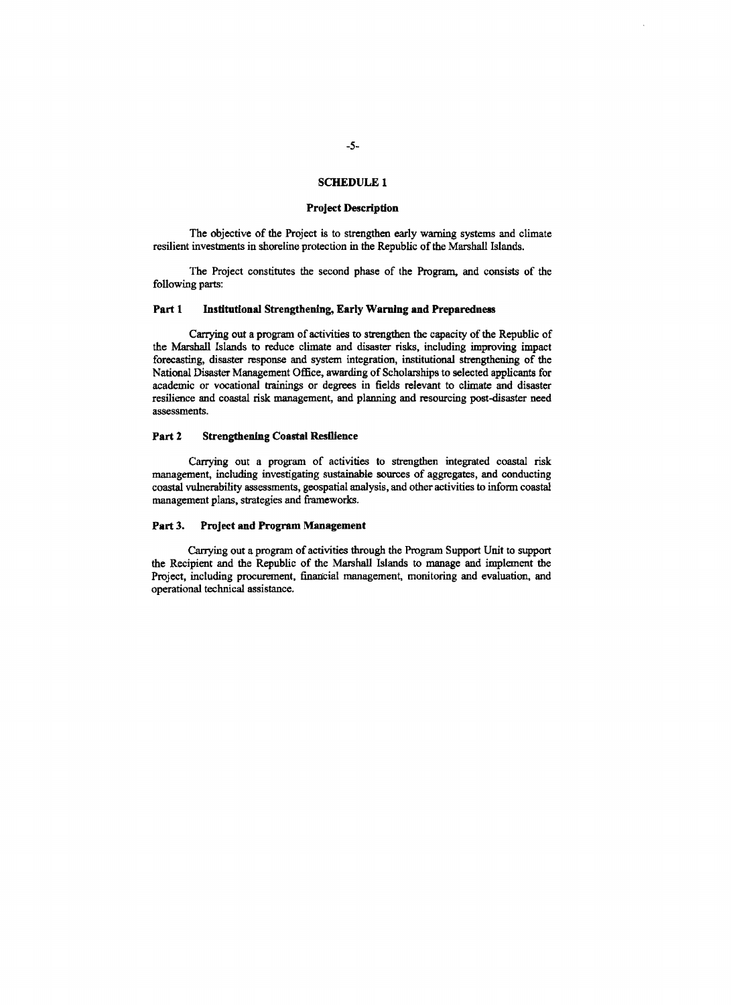### **SCHEDULE 1**

## **Project Description**

The objective of the Project is to strengthen early warning systems and climate resilient investments in shoreline protection in the Republic of the Marshall Islands.

The Project constitutes the second phase of the Program, and consists of the following parts:

# Part **I** Institutional Strengthening, Early **Warning and Preparedness**

Carrying out a program of activities to strengthen the capacity of the Republic of the Marshall Islands to reduce climate and disaster risks, including improving impact forecasting, disaster response and system integration, institutional strengthening of the National Disaster Management Office, awarding of Scholarships to selected applicants for academic or vocational trainings or degrees in fields relevant to climate and disaster resilience and coastal risk management, and planning and resourcing post-disaster need assessments.

# **Part** 2 Strengthening *Coastal* Resilience

Carrying out a program of activities to strengthen integrated coastal risk management, including investigating sustainable sources of aggregates, and conducting coastal vulnerability assessments, geospatial analysis, and other activities to inform coastal management plans, strategies and frameworks.

#### **Part 3.** Project **and** Program **Management**

Carrying out a program of activities through the Program Support Unit to support the Recipient and the Republic of the Marshall Islands to manage and implement the Project, including procurement, financial management, monitoring and evaluation, and operational technical assistance.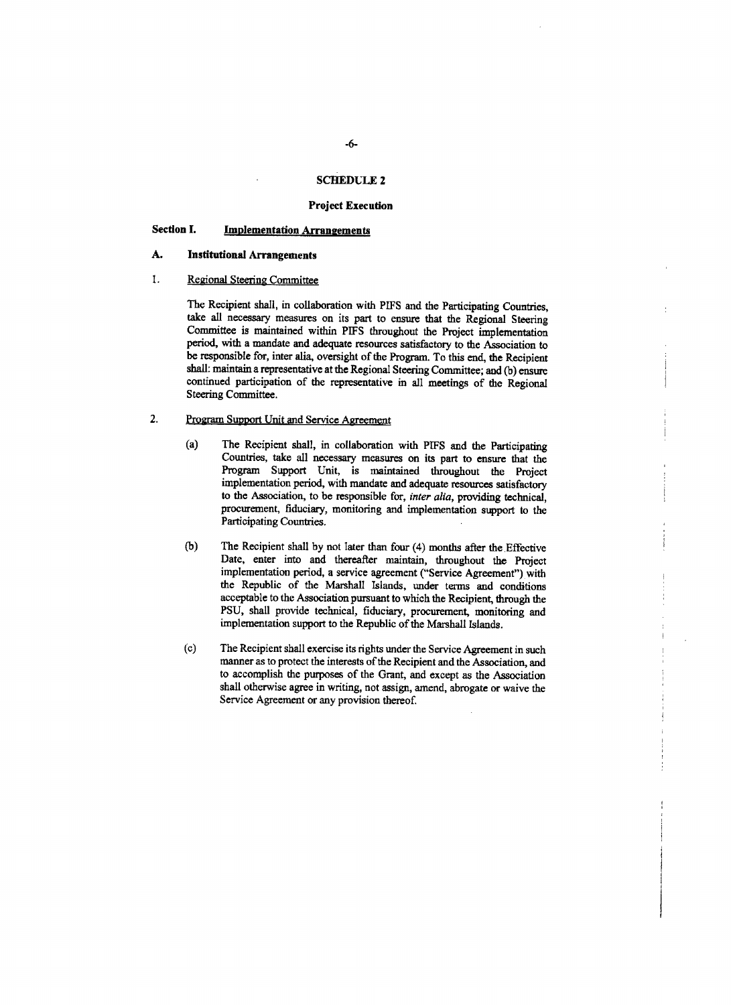# **SCHEDLIE 2**

# **Project Execution**

# **Section 1. Implementation Arraneements**

# **A. Institutional Arrangements**

# 1. Regional Steering Committee

The Recipient shall, in collaboration with **PIFS** and the Participating Countries, take all necessary measures on its part to ensure that the Regional Steering Committee is maintained within **PIEFS** throughout the Project implementation period, with a mandate and adequate resources satisfactory to the Association to be responsible for, inter alia, oversight of the Program. To this end, the Recipient shall: maintain a representative at the Regional Steering Committee; and **(b)** ensure continued participation of the representative in all meetings of the Regional Steering Committee.

# 2. Program Support Unit and Service Agreement

- (a) The Recipient shall, in collaboration with **PIFS** and the Participating Countries, take all necessary measures on its part to ensure that the Program Support Unit, is maintained throughout the Project implementation period, with mandate and adequate resources satisfactory **to** the Association, to be responsible for, *inter alia,* providing technical, procurement, fiduciary, monitoring and implementation support to the Participating Countries.
- **(b)** The Recipient shall **by** not later than four (4) months after the.Effective Date, enter into and thereafter maintain, throughout the Project implementation period, a service agreement ("Service Agreement") with the Republic of the Marshall Islands, under terms and conditions acceptable to the Association pursuant to which the Recipient, through the **PSU,** shall provide technical, fiduciary, procurement, monitoring and implementation support to the Republic of the Marshall Islands.
- (c) The Recipient shall exercise its rights under the Service Agreement in such manner as to protect the interests of the Recipient and the Association, and to accomplish the purposes of the Grant, and except as the Association shall otherwise agree in writing, not assign, amend, abrogate or waive the Service Agreement or any provision thereof.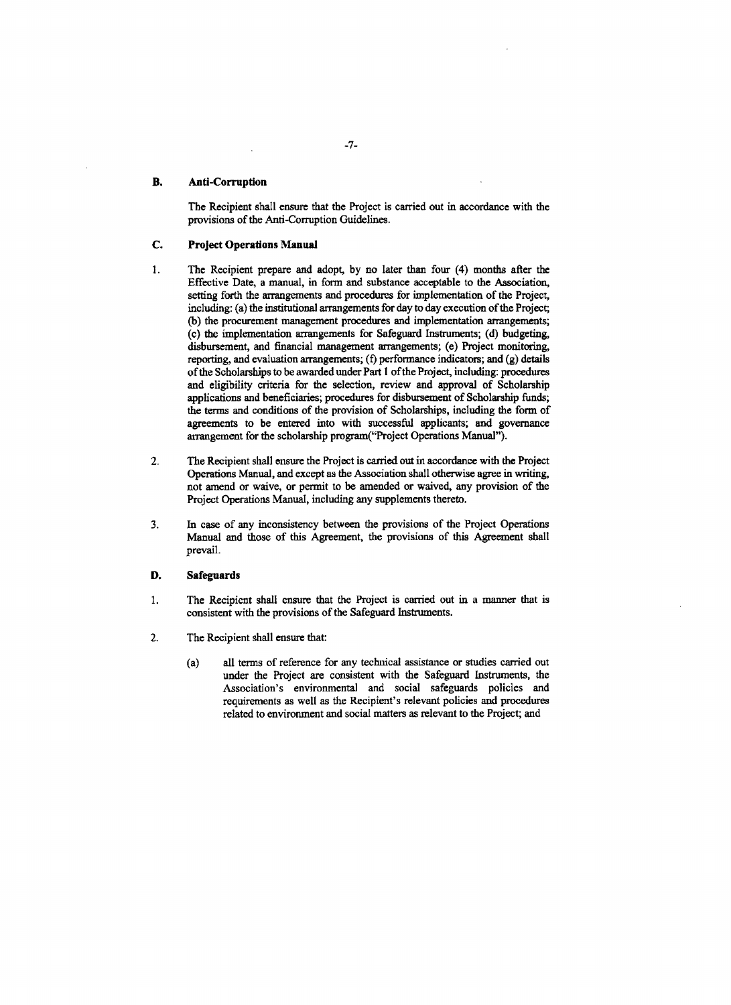# **B. Anti-Corruption**

**The Recipient shall ensure that the** Project is carried out in accordance with **the** provisions of the Anti-Corruption Guidelines.

# **C. Project Operations Manual**

- 1 **.** The Recipient prepare and adopt, **by** no later than four (4) months after the Effective Date, a manual, in form and substance acceptable to the Association, setting forth the arrangements and procedures for implementation of the Project, including: (a) the institutional arrangements for day to day execution of the Project; **(b)** the procurement management procedures and implementation arrangements; (c) the implementation arrangements for Safeguard Instruments; **(d)** budgeting, disbursement, and financial management arrangements; (e) Project monitoring, reporting, and evaluation arrangements; **(f)** performance indicators; and **(g)** details of the Scholarships to be awarded under Part **I** of the Project, including: procedures and eligibility criteria for the selection, review and approval of Scholarship applications and beneficiaries; procedures for disbursement of Scholarship funds; the terms and conditions of the provision of Scholarships, including the form of agreements to be entered into with successful applicants; and governance arrangement for the scholarship program("Project Operations Manual").
- 2. The Recipient shall ensure the Project is carried out in accordance with the Project Operations Manual, and except as the Association shall otherwise agree in writing, not amend or waive, or permit to be amended or waived, any provision of the Project Operations Manual, including any supplements thereto.
- **3.** In case of any inconsistency between the provisions of the Project Operations Manual and those of this Agreement, the provisions of this Agreement shall prevail.

### **D.** Safeguards

- 1. The Recipient shall ensure that the Project is carried out in a manner that is consistent with the provisions of the Safeguard Instruments.
- 2. The Recipient shall ensure that:
	- (a) all terms of reference for any technical assistance or studies carried out under the Project are consistent with the Safeguard Instruments, the Association's environmental and social safeguards policies and requirements as well as the Recipient's relevant policies and procedures related to environment and social matters as relevant to the Project; and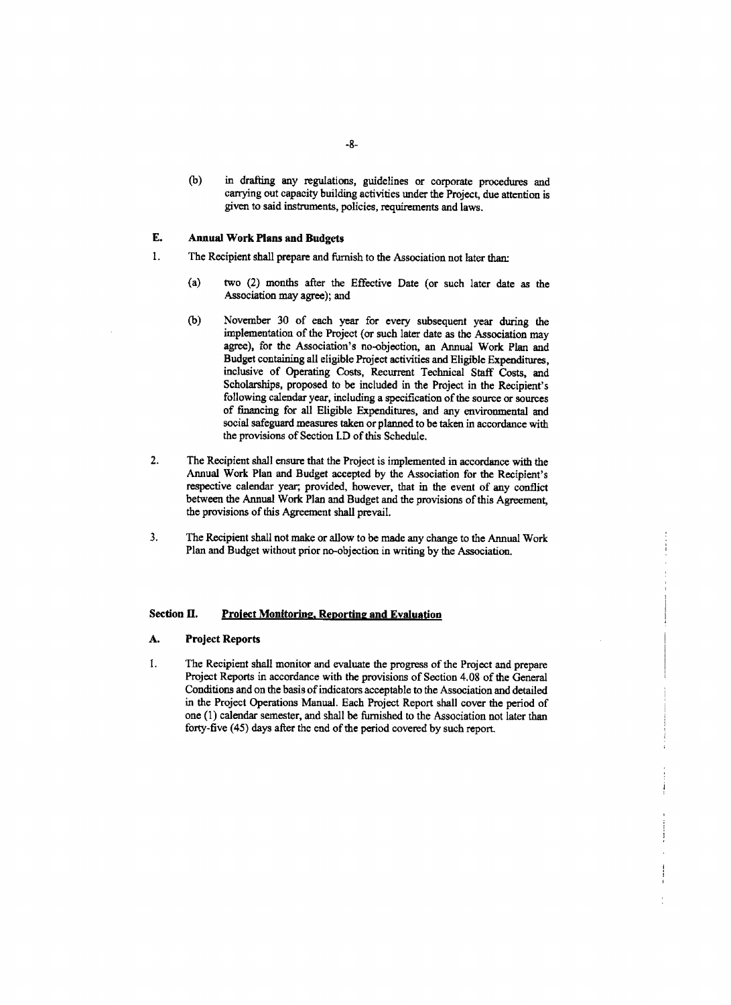**(b)** in drafting any regulations, guidelines or corporate procedures and carrying out capacity building activities under the Project, due attention is given to said instruments, policies, requirements and laws.

### **E.** Annual Work Plans and Budgets

- 1. The Recipient shall prepare and furnish to the Association not later than:
	- (a) two (2) months after the Effective Date (or such later date as the Association may agree); and
	- **(b)** November **30** of each year for every subsequent year during the implementation of the Project (or such later date as the Association may agree), for the Association's no-objection, an Annual Work Plan and Budget containing all eligible Project activities and Eligible Expenditures, inclusive of Operating Costs, Recurrent Technical Staff Costs, and Scholarships, proposed to be included in the Project in the Recipient's following calendar year, including a specification of the source or sources of financing for all Eligible Expenditures, and any environmental and social safeguard measures taken or planned to be taken in accordance with the provisions of Section **LD** of this Schedule.
- 2. The Recipient shall ensure that the Project is implemented in accordance with the Annual Work Plan and Budget accepted **by** the Association for the Recipient's respective calendar year, provided, however, that in the event of any conflict between the Annual Work Plan and Budget and the provisions of this Agreement, the provisions of this Agreement shall prevail.
- **3.** The Recipient shall not make or allow to be made any change to the Annual Work Plan and Budget without prior no-objection in writing **by** the Association.

# **Section** II. Project **Monitoring, Reporting and Evaluation**

#### **A. Project Reports**

1 **.** The Recipient shall monitor and evaluate the progress of the Project and prepare Project Reports in accordance with the provisions of Section 4.08 of the General Conditions and on the basis of indicators acceptable to the Association and detailed in the Project Operations Manual. Each Project Report shall cover the period of one **(1)** calendar semester, and shall be furnished to the Association not later than forty-five (45) days after the end of the period covered **by** such report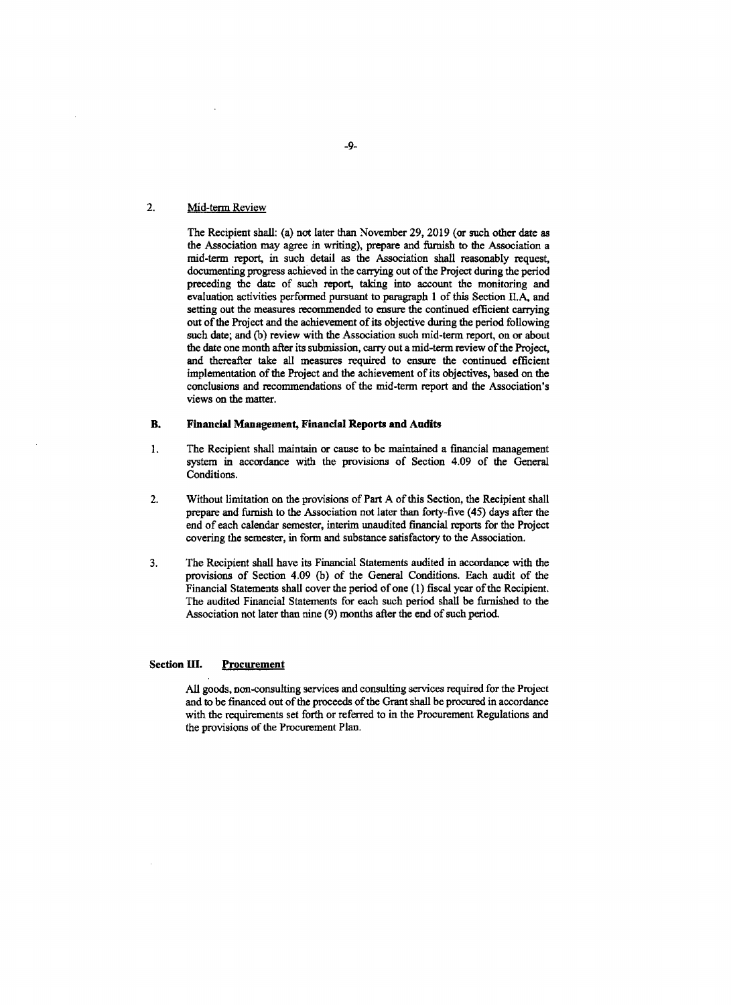# 2. Mid-term Review

The Recipient shall: (a) not later than November **29, 2019** (or such other date as the Association may agree in writing), prepare and furnish to **the** Association a mid-term report, in such detail as the Association shall reasonably request, documenting progress achieved in the carrying out of the Project during the period preceding the date of such report, taking into account the monitoring and evaluation activities performed pursuant to paragraph **I** of this Section **IIA,** and setting out the measures recommended to ensure the continued efficient carrying out of the Project and the achievement of its objective during the period following such date; and **(b)** review with the Association such mid-term report, on or about the date one month after its submission, carry out a mid-term review of the Project, and thereafter take all measures required to ensure the continued efficient implementation of the Project and the achievement of its objectives, based on the conclusions and recommendations of the mid-term report and the Association's views on the matter.

# B. Financial Management, **Financial Reports and Audits**

- 1. The Recipient shall maintain or cause to be maintained a financial management system in accordance with the provisions of Section 4.09 of the General Conditions.
- 2. Without limitation on the provisions of Part **A** of this Section, the Recipient shall prepare and furnish to the Association not later **than** forty-five (45) days after the end of each calendar semester, interim unaudited financial reports for the Project covering the semester, in form and substance satisfactory to the Association.
- **3.** The Recipient shall have its Financial Statements audited in accordance with the provisions of Section 4.09 **(b)** of the General Conditions. Each audit of the Financial Statements shall cover the period of one **(1)** fiscal year of the Recipient. The audited Financial Statements for each such period shall be furnished to the Association not later than nine **(9)** months after the end of such period.

# **Section III. Procurement**

**All** goods, non-consulting services and consulting services required for the Project and **to** be financed out of the proceeds of the Grant shall be procured in accordance with the requirements set forth or referred to in the Procurement Regulations and the provisions of the Procurement Plan.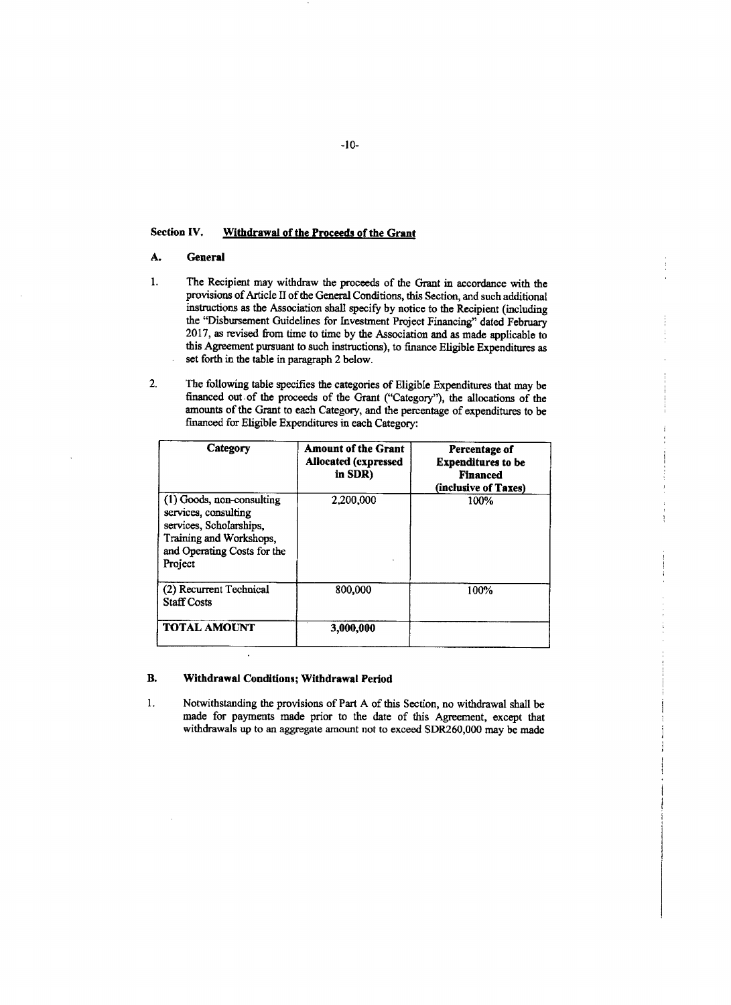# Section **IV.** Withdrawal of the Proceeds of the Grant

# **A.** General

- **1.** The Recipient may withdraw the proceeds of the Grant in accordance with the provisions of Article II of the General Conditions, this Section, and such additional instructions as the Association shall specify **by** notice to the Recipient (including the "Disbursement Guidelines for Investment Project Financing" dated February **2017,** as revised from time to time **by** the Association and as made applicable to this Agreement pursuant to such instructions), to finance Eligible Expenditures as set forth in the table in paragraph 2 below.
- 2. The following table specifies the categories of Eligible Expenditures that may be financed out of the proceeds of the Grant ("Category"), the allocations of the amounts of the Grant to each Category, and the percentage of expenditures to be financed for Eligible Expenditures in each Category:

| Category                                                                                                                                          | <b>Amount of the Grant</b><br><b>Allocated (expressed)</b><br>in SDR) | Percentage of<br><b>Expenditures to be</b><br><b>Financed</b><br>(inclusive of Taxes) |
|---------------------------------------------------------------------------------------------------------------------------------------------------|-----------------------------------------------------------------------|---------------------------------------------------------------------------------------|
| (1) Goods, non-consulting<br>services, consulting<br>services, Scholarships,<br>Training and Workshops,<br>and Operating Costs for the<br>Project | 2,200,000                                                             | 100%                                                                                  |
| (2) Recurrent Technical<br><b>Staff Costs</b>                                                                                                     | 800,000                                                               | 100%                                                                                  |
| <b>TOTAL AMOUNT</b>                                                                                                                               | 3,000,000                                                             |                                                                                       |

# B. Withdrawal Conditions; Withdrawal Period

 $\ddot{\phantom{a}}$ 

**1.** Notwithstanding **the** provisions of Part **A** of this Section, no withdrawal shall be made for payments made prior to the date of this Agreement, except that withdrawals up to an aggregate amount not to exceed SDR260,000 may **be** made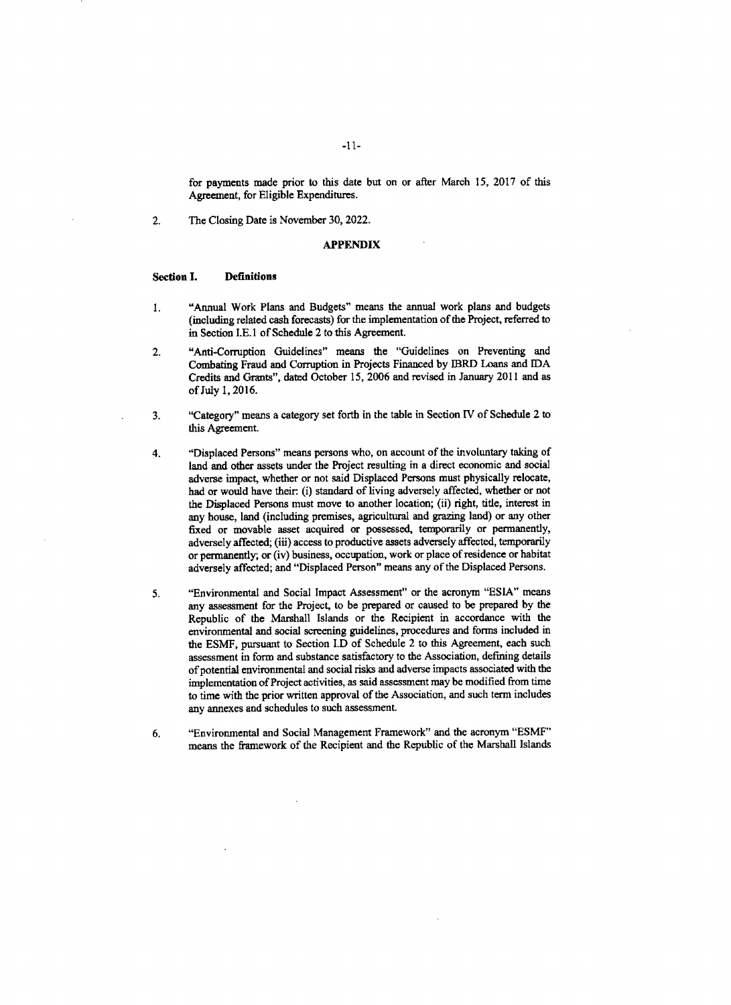for payments made prior to this date **but** on or after March **15, 2017** of this Agreement, for Eligible Expenditures.

2. The Closing Date is November **30,** 2022.

# **APPENDIX**

#### Section **I.** Definitions

- 1 **.** "Annual Work Plans and Budgets" means the annual work plans and budgets (including related cash forecasts) for the implementation of the Project, referred to in Section **I.E. 1** of Schedule 2 to this Agreement.
- 2. "Anti-Corruption Guidelines" means the "Guidelines on Preventing and Combating Fraud and Corruption in Projects Financed **by** 13RD Loans and **IDA** Credits and Grants", dated October *15,* **2006** and revised in January 2011 and as of July **1, 2016.**
- **3.** "Category" means a category set forth in the table in Section IV of Schedule 2 **to** this Agreement.
- 4. "Displaced Persons" means persons who, on account of the involuntary taking of land and other assets under the Project resulting in a direct economic and social adverse impact, whether or not said Displaced Persons must physically relocate, had or would have their. (i) standard of living adversely affected, whether or not the Displaced Persons must move to another location; (ii) right, title, interest in any house, land (including premises, agricultural and grazing land) or any other fixed or movable asset acquired or possessed, temporarily or permanently, adversely affected; (iii) access to productive assets adversely affected, temporarily or permanently; or (iv) business, occupation, work or place of residence or habitat adversely affected; and "Displaced Person" means any of the Displaced Persons.
- *5.* "Environmental and Social Impact Assessment" or the acronym **"ESIA"** means any assessment for the Project, to be prepared or caused to be prepared **by** the Republic of the Marshall Islands or the Recipient in accordance with the environmental and social screening guidelines, procedures and forms included in the **ESMF,** pursuant to Section I.D of Schedule 2 to this Agreement, each such assessment in form and substance satisfactory to the Association, defining details of potential environmental and social risks and adverse impacts associated with the implementation of Project activities, as said assessment may **be** modified from time **to** time with the prior written approval of the Association, and such term includes any annexes and schedules to such assessment.
- *6.* "Environmental and Social Management Framework" and the acronym **"ESMF"** means the framework of the Recipient and the Republic of the Marshall Islands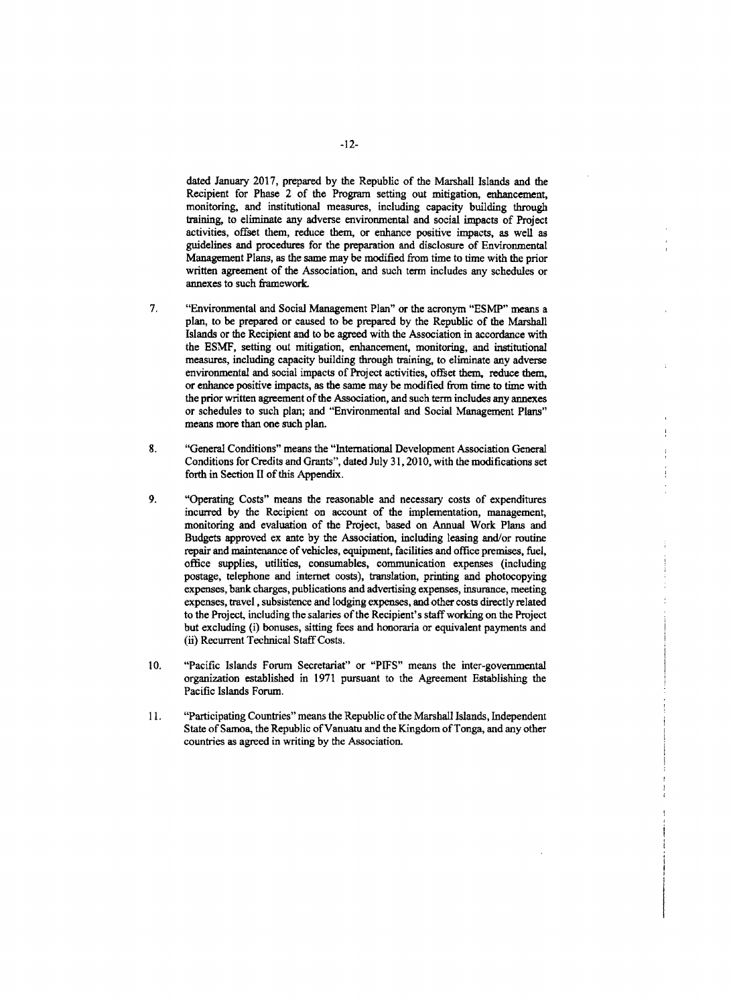dated January **2017,** prepared **by** the Republic of the Marshall Islands and the Recipient for Phase 2 of the Program setting out mitigation, enhancement, monitoring, and institutional measures, including capacity building through training, to eliminate any adverse environmental and social impacts of Project activities, offset them, reduce them, or enhance positive impacts, as well as guidelines and procedures for the preparation and disclosure of Environmental Management Plans, as the same may be modified from time to time with the prior written agreement of the Association, and such term includes any schedules or annexes to such framework.

- **7.** "Environmental and Social Management Plan" or the acronym **"ESMP"** means a plan, to be prepared or caused to be prepared **by** the Republic of the Marshall Islands or the Recipient and to be agreed with the Association in accordance with the **ESMF,** setting out mitigation, enhancement, monitoring, and institutional measures, including capacity building through training, to eliminate any adverse environmental and social impacts of Project activities, offset them, reduce them, or enhance positive impacts, as the same may be modified from time to time with the prior written agreement of the Association, and such term includes any annexes or schedules to such plan; and "Environmental and Social Management Plans" means more than one such plan.
- **8.** "General Conditions" means the "International Development Association General Conditions for Credits and Grants", dated July **31, 2010,** with the modifications set forth in Section II of this Appendix.
- **9.** "Operating Costs" means the reasonable and necessary costs of expenditures incurred **by** the Recipient on account of the implementation, management, monitoring and evaluation of the Project, based on Annual Work Plans and Budgets approved ex ante **by** the Association, including leasing and/or routine repair and maintenance of vehicles, equipment, facilities and office premises, fuel, office supplies, utilities, consumables, communication expenses (including postage, telephone and internet costs), translation, printing and photocopying expenses, bank charges, publications and advertising expenses, insurance, meeting expenses, travel, subsistence and lodging expenses, and other costs directly related to the Project, including the salaries of the Recipient's staff working on the Project but excluding (i) bonuses, sitting fees and honoraria or equivalent payments and (ii) Recurrent Technical Staff Costs.
- **10.** "Pacific Islands Forum Secretariat" or **"PFS"** means the inter-governmental organization established in **1971** pursuant to the Agreement Establishing the Pacific Islands Forum.
- **11.** "Participating Countries" means the Republic of the Marshall Islands, Independent State of Samoa, the Republic of Vanuatu and the Kingdom of Tonga, and any other countries as agreed in writing **by** the Association.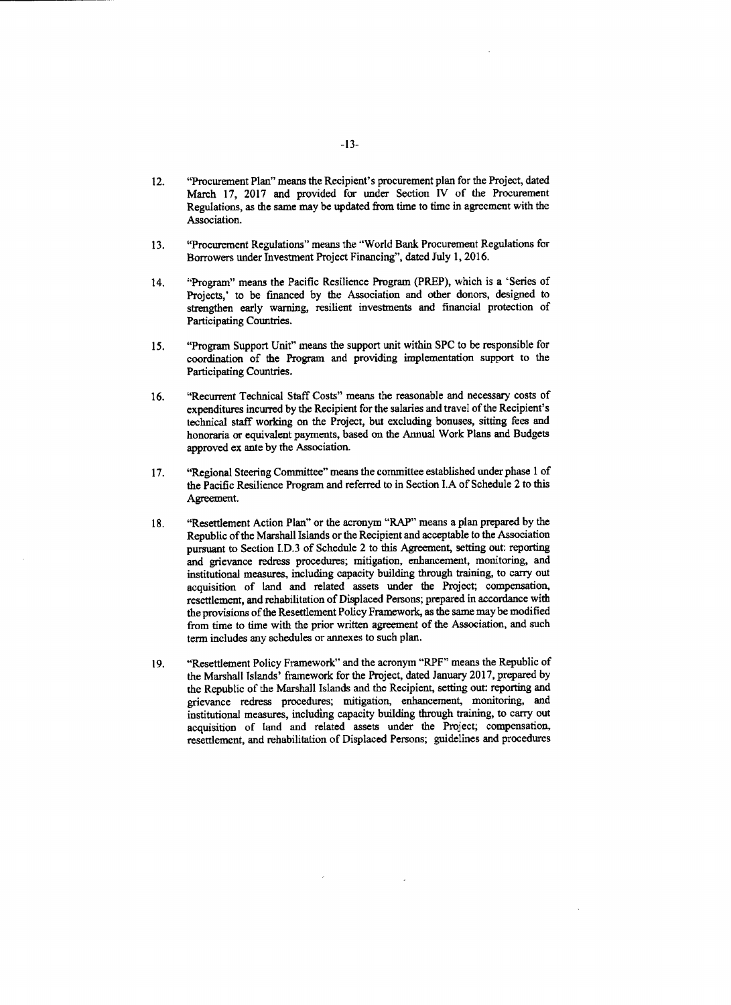- 12. "Procurement Plan" means the Recipient's procurement plan for the Project, dated March **17, 2017** and provided for under Section IV of the Procurement Regulations, as the same may be updated from time to time in agreement with the Association.
- **13.** "Procurement Regulations" means the "World Bank Procurement Regulations for Borrowers under Investment Project Financing", dated July **1, 2016.**
- 14. "Program" means the Pacific Resilience Program (PREP), which is a 'Series of Projects,' to be financed **by** the Association and other donors, designed to strengthen early warning, resilient investments and financial protection of Participating Countries.
- *15.* "Program Support Unit" means the support unit within **SPC** to be responsible for coordination of the Program and providing implementation support to the Participating Countries.
- **16.** "Recurrent Technical Staff Costs" means the reasonable and necessary costs of expenditures incurred **by** the Recipient for the salaries and travel of the Recipient's technical staff working on the Project, but excluding bonuses, sitting fees and honoraria or equivalent payments, based on the Annual Work Plans and Budgets approved ex ante **by** the Association.
- **17.** "Regional Steering Committee" means the committee established under phase **1** of the Pacific Resilience Program and referred to in Section **LA** of Schedule 2 to this Agreement.
- **18.** "Resettlement Action Plan" or the acronym "RAP" means a plan prepared **by** the Republic of the Marshall Islands or the Recipient and acceptable to the Association pursuant to Section **I.D.3** of Schedule 2 to this Agreement, setting out reporting and grievance redress procedures; mitigation, enhancement, monitoring, and institutional measures, including capacity building through training, to carry out acquisition of land and related assets under the Project; compensation, resettlement, and rehabilitation of Displaced Persons; prepared in accordance with the provisions of the Resettlement Policy Framework, as the same may be modified from time to time with the prior written agreement of the Association, and such term includes any schedules or annexes to such plan.
- **19.** "Resettlement Policy Framework" and the acronym "RPF" means the Republic of the Marshall Islands' framework for the Project, dated January **2017,** prepared **by** the Republic of the Marshall Islands and the Recipient, setting out: reporting and grievance redress procedures; mitigation, enhancement, monitoring, and institutional measures, including capacity building through training, to carry out acquisition of land and related assets under the Project; compensation, resettlement, and rehabilitation of Displaced Persons; guidelines and procedures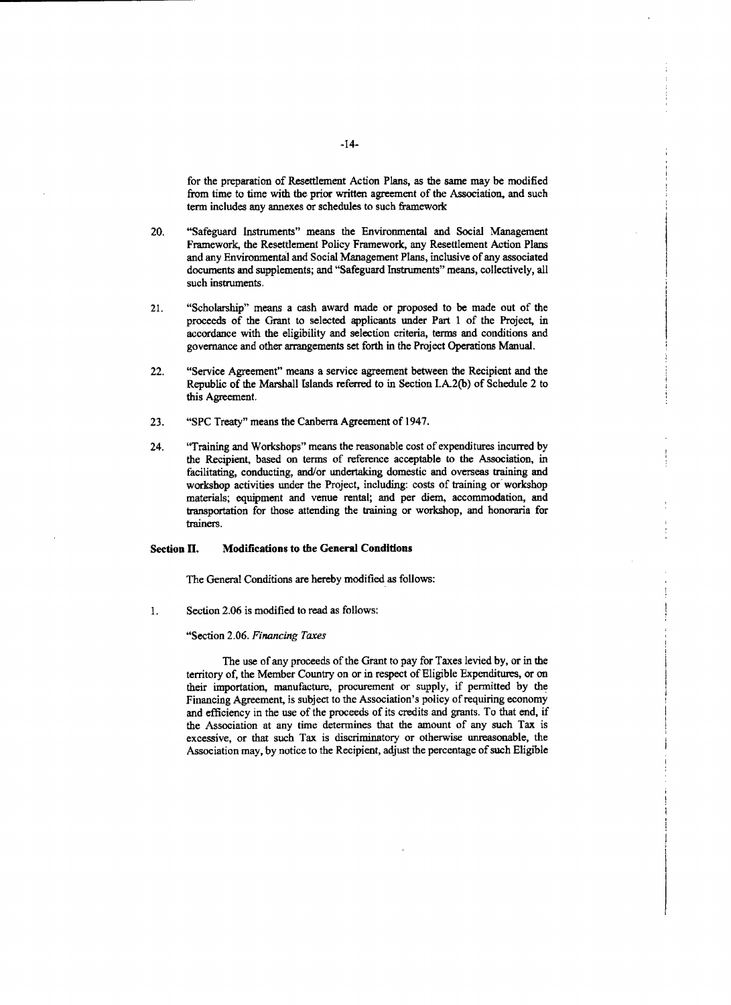for the preparation of Resettlement Action Plans, as the same may be modified from time to time with the prior written agreement of the Association, and such term includes any annexes or schedules to such framework

- 20. "Safeguard Instruments" means the Environmental and Social Management Framework, the Resettlement Policy Framework, any Resettlement Action Plans and any Environmental and Social Management Plans, inclusive of any associated documents and supplements; and "Safeguard Instruments" means, collectively, all such instruments.
- 21. "Scholarship" means a cash award made or proposed to be made out of the proceeds of the Grant to selected applicants under Part **1** of the Project, in accordance with the eligibility and selection criteria, terms and conditions and governance and other arrangements set forth in the Project Operations Manual.
- 22. "Service Agreement" means a service agreement between the Recipient and the Republic of the Marshall Islands referred to in Section **I.A.2(b)** of Schedule 2 to this Agreement.
- **23. "SPC** Treaty" means the Canberra Agreement of 1947.
- 24. "Training and Workshops" means the reasonable cost of expenditures incurred **by** the Recipient, based on terms of reference acceptable to the Association, in facilitating, conducting, and/or undertaking domestic and overseas training and workshop activities under the Project, including: costs of training or workshop materials; equipment and venue rental; and per diem, accommodation, and transportation for those attending the training or workshop, and honoraria for trainers.

# Section **H.** Modifications to the General Conditions

The General Conditions are hereby modified as follows:

1. **Section 2.06 is modified to read as follows:** 

#### "Section **2.06.** *Financing Taxes*

The use of any proceeds of the Grant to pay for Taxes levied **by,** or in the territory of, the Member Country on or in respect of Eligible Expenditures, or on their importation, manufacture, procurement or supply, if permitted **by** the Financing Agreement, is subject to the Association's policy of requiring economy and efficiency in the use of the proceeds of its credits and grants. To that end, if the Association at any time determines that the amount of any such Tax is excessive, or that such Tax is discriminatory or otherwise unreasonable, the Association may, **by** notice to the Recipient, adjust the percentage of such Eligible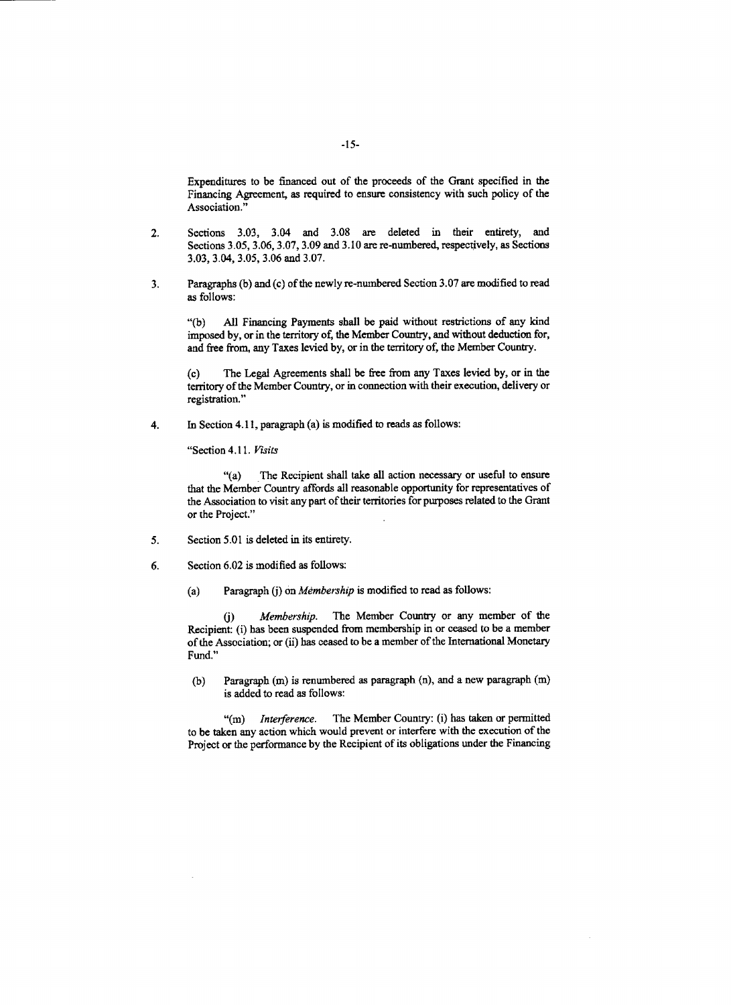Expenditures to be financed out of the proceeds of the Grant specified in the Financing Agreement, as required to ensure consistency with such policy of the Association."

- 2. Sections **3.03,** 3.04 and **3.08** are deleted in their entirety, and Sections **3.05, 3.06, 3.07, 3.09** and **3.10** are re-numbered, respectively, as Sections **3.03,** 3.04, **3.05, 3.06** and **3.07.**
- **3.** Paragraphs **(b)** and (c) of the newly re-numbered Section **3.07** are modified to read as follows:

**"(b) All** Financing Payments shall **be** paid without restrictions of any kind imposed **by,** or in the territory of, the Member Country, and without deduction for, and free from, any Taxes levied **by,** or in the territory of, the Member Country.

(c) The Legal Agreements shall **be** free from any Taxes levied **by,** or in the territory of the Member Country, or in connection with their execution, delivery or registration."

4. In Section **4.11,** paragraph (a) is modified to reads as follows:

"Section *4.11. Visits*

"(a) The Recipient shall take all action necessary or useful to ensure that the Member Country affords all reasonable opportunity for representatives of the Association to visit any part of their territories for purposes related to the Grant or the Project."

- *5.* Section **5.01** is deleted in its entirety.
- **6.** Section **6.02** is modified as follows:
	- (a) Paragraph **(j)** *on Membership* is modified to read as follows:

**(j)** *Membership.* The Member Country or any member of the Recipient: (i) has been suspended from membership in or ceased to be a member of the Association; or (ii) has ceased to be a member of the International Monetary Fund."

**(b)** Paragraph (m) is renumbered as paragraph (n), and a new paragraph **(m)** is added to read as follows:

**"(m)** *Interference.* The Member Country: (i) has taken or permitted to be taken any action which would prevent or interfere with the execution of the Project or the performance **by** the Recipient of its obligations under the Financing